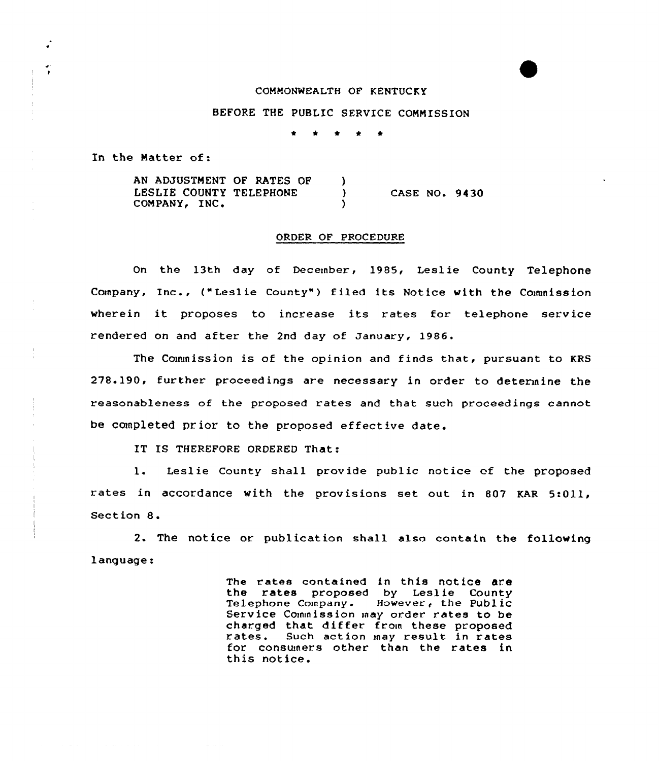### COMMONWEALTH OF KENTUCKY

## BEFORE THE PUBLIC SERVICE COMMISSION

In the Matter of:

 $\tilde{ }$ 

**Service** State

and a series and a series of the

بالمنابذ المرادي

AN ADJUSTMENT OF RATES OF )<br>LESLIE COUNTY TELEPHONE ) LESLIE COUNTY TELEPHONE COMPANY, INC. CASE NO. 9430

#### ORDER OF PROCEDURE

On the 13th day of December, 1985, Leslie County Telephone Company, Inc., ("Leslie County") filed its Notice with the Commission wherein it proposes to increase its rates for telephone service rendered on and after the 2nd day of January, 1986.

The Commission is of the opinion and finds that, pursuant to KRS 278.190, further proceedings are necessary in order to determine the reasonableness of the proposed rates and that such proceedings cannot be completed prior to the proposed effective date.

IT IS THEREFORE ORDERED That:

1. Leslie County shall provide public notice of the proposed rates in accordance with the provisions set out in 807 KAR 5:011, Section 8.

2. The notice or publication shall also contain the following language:

> The rates contained in this notice are the rates proposed by Leslie County Telephone Company. However, the Public Service Commission may order rates to be charged that differ from these proposed rates. Such action may result in rates for consumers other than the rates in this notice.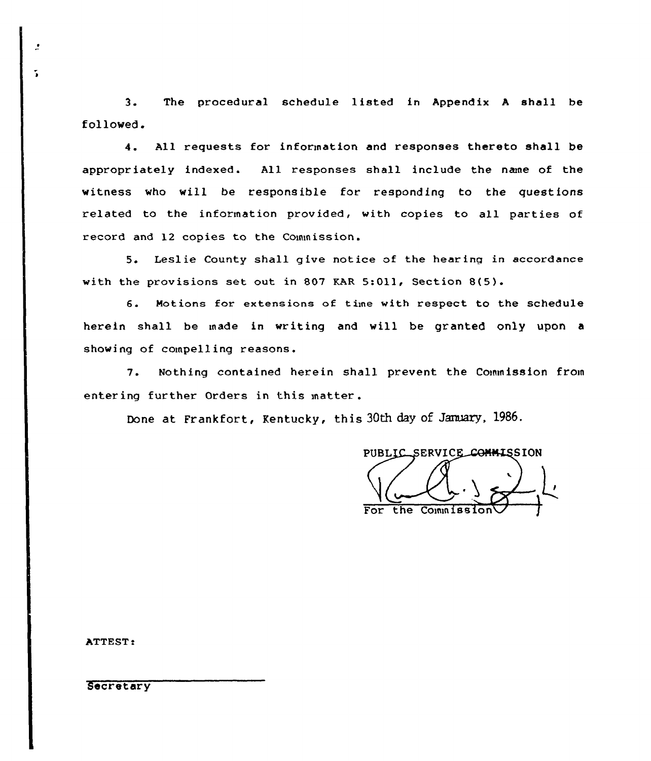3. The procedural schedule listed in Appendix <sup>A</sup> shall be fol lowed.

4. All requests for information and responses thereto shall be appropriately indexed. All responses shall include the nane of the witness who will be responsible for responding to the questions related to the information provided, with copies to all parties of record and 12 copies to the Commission.

5. Leslie County shall give notice of the hearing in accordance with the provisions set out in 807 KAR 5:Oll, Section 8(5).

6. Motions for extensions of time with respect to the schedule herein shall be made in writing and will be granted only upon a showing of compelling reasons.

7. Nothing contained herein shall prevent the Commission from entering further Orders in this matter .

Done at Frankfort, Kentucky, this 30th day of January, 1986.

PUBLIC SERVICE COMMISSION For the Commissio

ATTEST:

**Secretary**